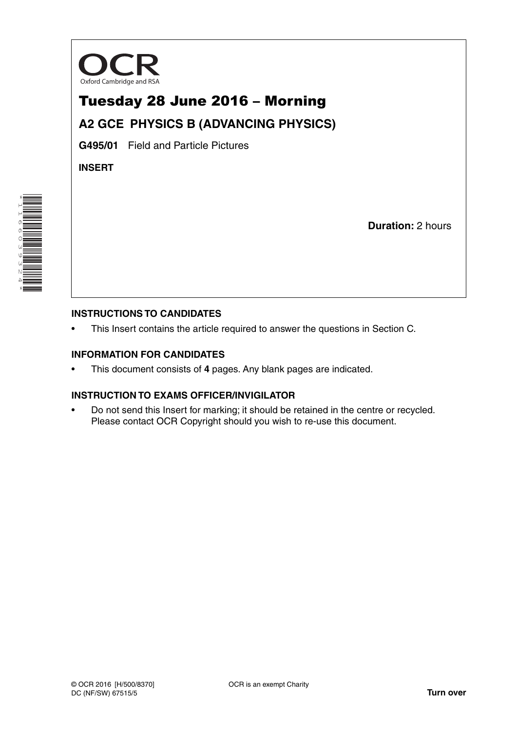

# Tuesday 28 June 2016 – Morning

# **A2 GCE PHYSICS B (ADVANCING PHYSICS)**

**G495/01** Field and Particle Pictures

**INSERT**

\*1166039324\* 

**Duration:** 2 hours

### **INSTRUCTIONS TO CANDIDATES**

This Insert contains the article required to answer the questions in Section C.

### **INFORMATION FOR CANDIDATES**

• This document consists of **4** pages. Any blank pages are indicated.

### **INSTRUCTION TO EXAMS OFFICER/INVIGILATOR**

• Do not send this Insert for marking; it should be retained in the centre or recycled. Please contact OCR Copyright should you wish to re-use this document.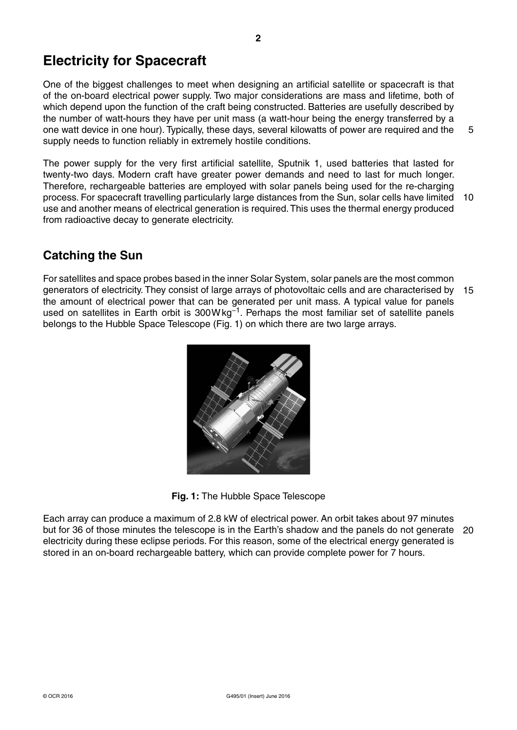One of the biggest challenges to meet when designing an artificial satellite or spacecraft is that of the on-board electrical power supply. Two major considerations are mass and lifetime, both of which depend upon the function of the craft being constructed. Batteries are usefully described by the number of watt-hours they have per unit mass (a watt-hour being the energy transferred by a one watt device in one hour). Typically, these days, several kilowatts of power are required and the supply needs to function reliably in extremely hostile conditions. 5

The power supply for the very first artificial satellite, Sputnik 1, used batteries that lasted for twenty-two days. Modern craft have greater power demands and need to last for much longer. Therefore, rechargeable batteries are employed with solar panels being used for the re-charging process. For spacecraft travelling particularly large distances from the Sun, solar cells have limited 10 use and another means of electrical generation is required. This uses the thermal energy produced from radioactive decay to generate electricity.

# **Catching the Sun**

For satellites and space probes based in the inner Solar System, solar panels are the most common generators of electricity. They consist of large arrays of photovoltaic cells and are characterised by 15 the amount of electrical power that can be generated per unit mass. A typical value for panels used on satellites in Earth orbit is 300W kg<sup>-1</sup>. Perhaps the most familiar set of satellite panels belongs to the Hubble Space Telescope (Fig. 1) on which there are two large arrays.



**Fig. 1:** The Hubble Space Telescope

Each array can produce a maximum of 2.8 kW of electrical power. An orbit takes about 97 minutes but for 36 of those minutes the telescope is in the Earth's shadow and the panels do not generate 20electricity during these eclipse periods. For this reason, some of the electrical energy generated is stored in an on-board rechargeable battery, which can provide complete power for 7 hours.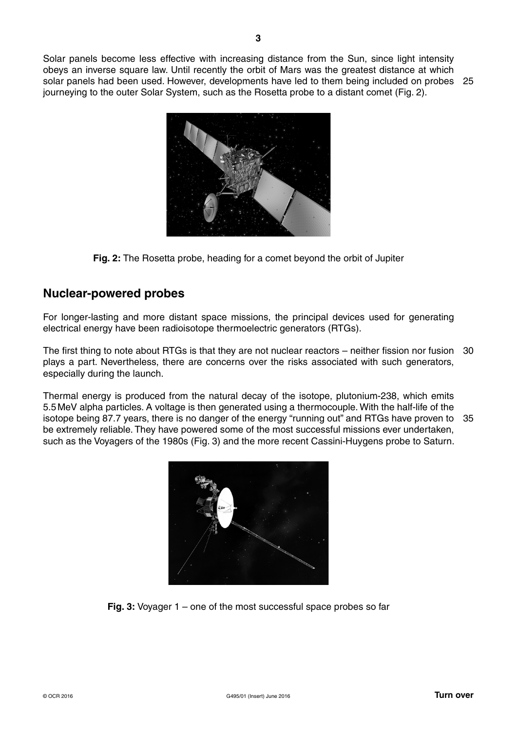Solar panels become less effective with increasing distance from the Sun, since light intensity obeys an inverse square law. Until recently the orbit of Mars was the greatest distance at which solar panels had been used. However, developments have led to them being included on probes 25 journeying to the outer Solar System, such as the Rosetta probe to a distant comet (Fig. 2).



**Fig. 2:** The Rosetta probe, heading for a comet beyond the orbit of Jupiter

## **Nuclear-powered probes**

For longer-lasting and more distant space missions, the principal devices used for generating electrical energy have been radioisotope thermoelectric generators (RTGs).

The first thing to note about RTGs is that they are not nuclear reactors – neither fission nor fusion 30 plays a part. Nevertheless, there are concerns over the risks associated with such generators, especially during the launch.

Thermal energy is produced from the natural decay of the isotope, plutonium-238, which emits 5.5 MeV alpha particles. A voltage is then generated using a thermocouple. With the half-life of the isotope being 87.7 years, there is no danger of the energy "running out" and RTGs have proven to 35be extremely reliable. They have powered some of the most successful missions ever undertaken, such as the Voyagers of the 1980s (Fig. 3) and the more recent Cassini-Huygens probe to Saturn.



**Fig. 3:** Voyager 1 – one of the most successful space probes so far